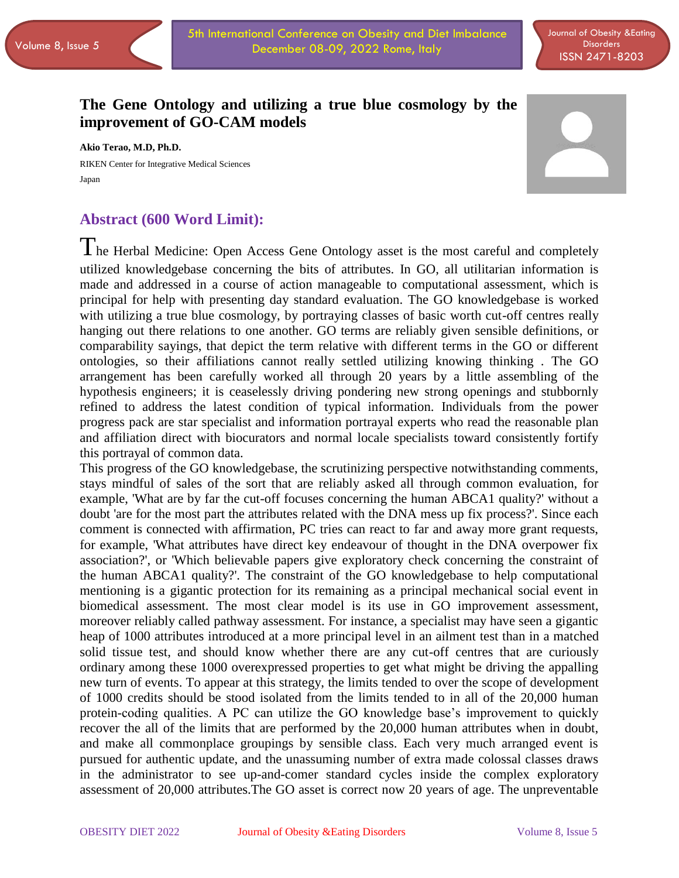# **The Gene Ontology and utilizing a true blue cosmology by the improvement of GO-CAM models**

**Akio Terao, M.D, Ph.D.** RIKEN Center for Integrative Medical Sciences Japan



## **Abstract (600 Word Limit):**

 $\prod$  he Herbal Medicine: Open Access Gene Ontology asset is the most careful and completely utilized knowledgebase concerning the bits of attributes. In GO, all utilitarian information is made and addressed in a course of action manageable to computational assessment, which is principal for help with presenting day standard evaluation. The GO knowledgebase is worked with utilizing a true blue cosmology, by portraying classes of basic worth cut-off centres really hanging out there relations to one another. GO terms are reliably given sensible definitions, or comparability sayings, that depict the term relative with different terms in the GO or different ontologies, so their affiliations cannot really settled utilizing knowing thinking . The GO arrangement has been carefully worked all through 20 years by a little assembling of the hypothesis engineers; it is ceaselessly driving pondering new strong openings and stubbornly refined to address the latest condition of typical information. Individuals from the power progress pack are star specialist and information portrayal experts who read the reasonable plan and affiliation direct with biocurators and normal locale specialists toward consistently fortify this portrayal of common data.

This progress of the GO knowledgebase, the scrutinizing perspective notwithstanding comments, stays mindful of sales of the sort that are reliably asked all through common evaluation, for example, 'What are by far the cut-off focuses concerning the human ABCA1 quality?' without a doubt 'are for the most part the attributes related with the DNA mess up fix process?'. Since each comment is connected with affirmation, PC tries can react to far and away more grant requests, for example, 'What attributes have direct key endeavour of thought in the DNA overpower fix association?', or 'Which believable papers give exploratory check concerning the constraint of the human ABCA1 quality?'. The constraint of the GO knowledgebase to help computational mentioning is a gigantic protection for its remaining as a principal mechanical social event in biomedical assessment. The most clear model is its use in GO improvement assessment, moreover reliably called pathway assessment. For instance, a specialist may have seen a gigantic heap of 1000 attributes introduced at a more principal level in an ailment test than in a matched solid tissue test, and should know whether there are any cut-off centres that are curiously ordinary among these 1000 overexpressed properties to get what might be driving the appalling new turn of events. To appear at this strategy, the limits tended to over the scope of development of 1000 credits should be stood isolated from the limits tended to in all of the 20,000 human protein-coding qualities. A PC can utilize the GO knowledge base's improvement to quickly recover the all of the limits that are performed by the 20,000 human attributes when in doubt, and make all commonplace groupings by sensible class. Each very much arranged event is pursued for authentic update, and the unassuming number of extra made colossal classes draws in the administrator to see up-and-comer standard cycles inside the complex exploratory assessment of 20,000 attributes.The GO asset is correct now 20 years of age. The unpreventable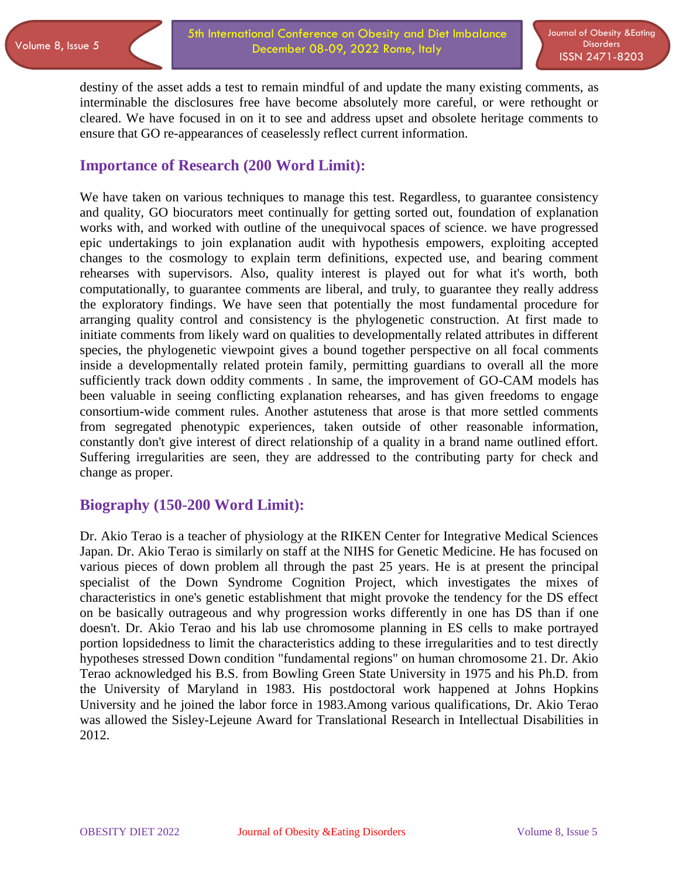destiny of the asset adds a test to remain mindful of and update the many existing comments, as interminable the disclosures free have become absolutely more careful, or were rethought or cleared. We have focused in on it to see and address upset and obsolete heritage comments to ensure that GO re-appearances of ceaselessly reflect current information.

#### **Importance of Research (200 Word Limit):**

We have taken on various techniques to manage this test. Regardless, to guarantee consistency and quality, GO biocurators meet continually for getting sorted out, foundation of explanation works with, and worked with outline of the unequivocal spaces of science. we have progressed epic undertakings to join explanation audit with hypothesis empowers, exploiting accepted changes to the cosmology to explain term definitions, expected use, and bearing comment rehearses with supervisors. Also, quality interest is played out for what it's worth, both computationally, to guarantee comments are liberal, and truly, to guarantee they really address the exploratory findings. We have seen that potentially the most fundamental procedure for arranging quality control and consistency is the phylogenetic construction. At first made to initiate comments from likely ward on qualities to developmentally related attributes in different species, the phylogenetic viewpoint gives a bound together perspective on all focal comments inside a developmentally related protein family, permitting guardians to overall all the more sufficiently track down oddity comments . In same, the improvement of GO-CAM models has been valuable in seeing conflicting explanation rehearses, and has given freedoms to engage consortium-wide comment rules. Another astuteness that arose is that more settled comments from segregated phenotypic experiences, taken outside of other reasonable information, constantly don't give interest of direct relationship of a quality in a brand name outlined effort. Suffering irregularities are seen, they are addressed to the contributing party for check and change as proper.

## **Biography (150-200 Word Limit):**

Dr. Akio Terao is a teacher of physiology at the RIKEN Center for Integrative Medical Sciences Japan. Dr. Akio Terao is similarly on staff at the NIHS for Genetic Medicine. He has focused on various pieces of down problem all through the past 25 years. He is at present the principal specialist of the Down Syndrome Cognition Project, which investigates the mixes of characteristics in one's genetic establishment that might provoke the tendency for the DS effect on be basically outrageous and why progression works differently in one has DS than if one doesn't. Dr. Akio Terao and his lab use chromosome planning in ES cells to make portrayed portion lopsidedness to limit the characteristics adding to these irregularities and to test directly hypotheses stressed Down condition "fundamental regions" on human chromosome 21. Dr. Akio Terao acknowledged his B.S. from Bowling Green State University in 1975 and his Ph.D. from the University of Maryland in 1983. His postdoctoral work happened at Johns Hopkins University and he joined the labor force in 1983.Among various qualifications, Dr. Akio Terao was allowed the Sisley-Lejeune Award for Translational Research in Intellectual Disabilities in 2012.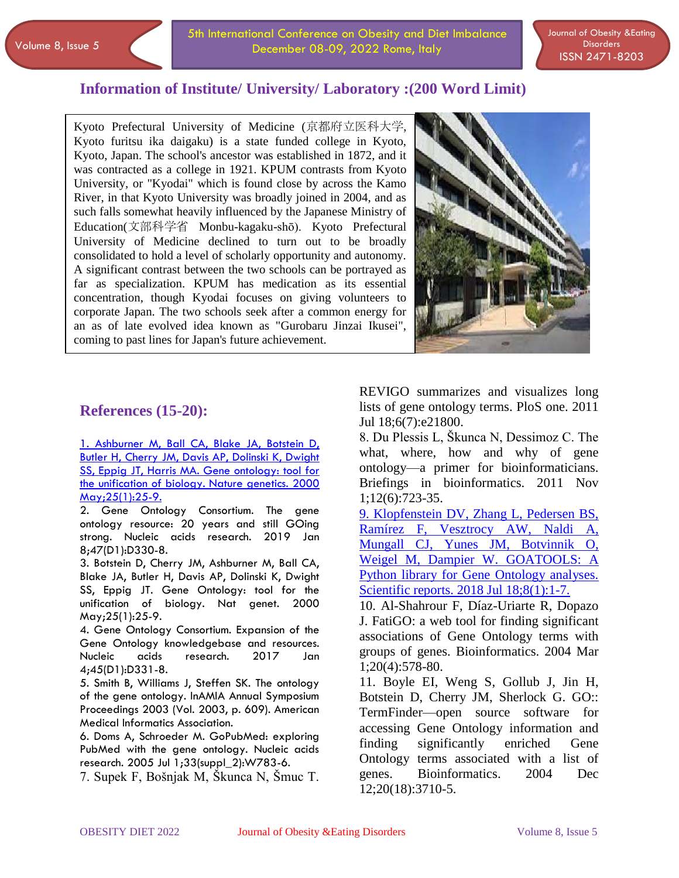5th International Conference on Obesity and Diet Imbalance December 08-09, 2022 Rome, Italy

Journal of Obesity &Eating **Disorders** ISSN 2471-8203

#### **Information of Institute/ University/ Laboratory :(200 Word Limit)**

 $\overline{\phantom{a}}$ Kyoto Prefectural University of Medicine (京都府立医科大学, Kyoto furitsu ika daigaku) is a state funded college in Kyoto, Kyoto, Japan. The school's ancestor was established in 1872, and it was contracted as a college in 1921. KPUM contrasts from Kyoto University, or "Kyodai" which is found close by across the Kamo River, in that Kyoto University was broadly joined in 2004, and as such falls somewhat heavily influenced by the Japanese Ministry of Education(文部科学省 Monbu-kagaku-shō). Kyoto Prefectural University of Medicine declined to turn out to be broadly consolidated to hold a level of scholarly opportunity and autonomy. A significant contrast between the two schools can be portrayed as far as specialization. KPUM has medication as its essential concentration, though Kyodai focuses on giving volunteers to corporate Japan. The two schools seek after a common energy for an as of late evolved idea known as "Gurobaru Jinzai Ikusei", coming to past lines for Japan's future achievement.



#### **References (15-20):**

[1. Ashburner M, Ball CA, Blake JA, Botstein D,](https://obesity.imedpub.com/archive.php)  [Butler H, Cherry JM, Davis AP, Dolinski K, Dwight](https://obesity.imedpub.com/archive.php)  SS, Eppig [JT, Harris MA. Gene ontology: tool for](https://obesity.imedpub.com/archive.php)  [the unification of biology. Nature](https://obesity.imedpub.com/archive.php) genetics. 2000 [May;25\(1\):25-9.](https://obesity.imedpub.com/archive.php)

2. Gene Ontology Consortium. The gene ontology resource: 20 years and still GOing strong. Nucleic acids research. 2019 Jan 8;47(D1):D330-8.

3. Botstein D, Cherry JM, Ashburner M, Ball CA, Blake JA, Butler H, Davis AP, Dolinski K, Dwight SS, Eppig JT. Gene Ontology: tool for the unification of biology. Nat genet. 2000 May;25(1):25-9.

4. Gene Ontology Consortium. Expansion of the Gene Ontology knowledgebase and resources. Nucleic acids research. 2017 Jan 4;45(D1):D331-8.

5. Smith B, Williams J, Steffen SK. The ontology of the gene ontology. InAMIA Annual Symposium Proceedings 2003 (Vol. 2003, p. 609). American Medical Informatics Association.

6. Doms A, Schroeder M. GoPubMed: exploring PubMed with the gene ontology. Nucleic acids research. 2005 Jul 1;33(suppl\_2):W783-6.

7. Supek F, Bošnjak M, Škunca N, Šmuc T.

REVIGO summarizes and visualizes long lists of gene ontology terms. PloS one. 2011 Jul 18;6(7):e21800.

8. Du Plessis L, Škunca N, Dessimoz C. The what, where, how and why of gene ontology—a primer for bioinformaticians. Briefings in bioinformatics. 2011 Nov 1;12(6):723-35.

[9. Klopfenstein DV, Zhang L, Pedersen BS,](https://obesity.imedpub.com/)  [Ramírez F, Vesztrocy AW, Naldi A,](https://obesity.imedpub.com/)  [Mungall CJ, Yunes JM, Botvinnik O,](https://obesity.imedpub.com/)  [Weigel M, Dampier W. GOATOOLS: A](https://obesity.imedpub.com/)  [Python library for Gene Ontology analyses.](https://obesity.imedpub.com/)  Scientific [reports. 2018 Jul 18;8\(1\):1-7.](https://obesity.imedpub.com/)

10. Al-Shahrour F, Díaz-Uriarte R, Dopazo J. FatiGO: a web tool for finding significant associations of Gene Ontology terms with groups of genes. Bioinformatics. 2004 Mar 1;20(4):578-80.

11. Boyle EI, Weng S, Gollub J, Jin H, Botstein D, Cherry JM, Sherlock G. GO:: TermFinder—open source software for accessing Gene Ontology information and finding significantly enriched Gene Ontology terms associated with a list of genes. Bioinformatics. 2004 Dec 12;20(18):3710-5.